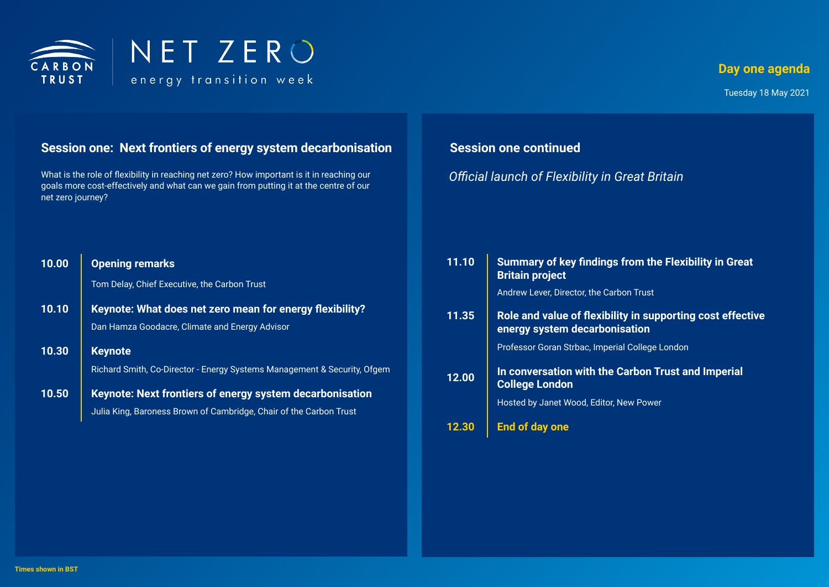

#### **Day one agenda**

Tuesday 18 May 2021

# **Session one: Next frontiers of energy system decarbonisation**

What is the role of flexibility in reaching net zero? How important is it in reaching our goals more cost-effectively and what can we gain from putting it at the centre of our net zero journey?

# **Session one continued**

*Official launch of Flexibility in Great Britain*

| 10.00 | <b>Opening remarks</b><br>Tom Delay, Chief Executive, the Carbon Trust                                                               | 11.10 | Summary of key findings from the Flexibility in Great<br><b>Britain project</b><br>Andrew Lever, Director, the Carbon Trust |
|-------|--------------------------------------------------------------------------------------------------------------------------------------|-------|-----------------------------------------------------------------------------------------------------------------------------|
| 10.10 | Keynote: What does net zero mean for energy flexibility?<br>Dan Hamza Goodacre, Climate and Energy Advisor                           | 11.35 | Role and value of flexibility in supporting cost effective<br>energy system decarbonisation                                 |
| 10.30 | <b>Keynote</b>                                                                                                                       |       | Professor Goran Strbac, Imperial College London                                                                             |
| 10.50 | Richard Smith, Co-Director - Energy Systems Management & Security, Ofgem<br>Keynote: Next frontiers of energy system decarbonisation | 12.00 | In conversation with the Carbon Trust and Imperial<br><b>College London</b><br>Hosted by Janet Wood, Editor, New Power      |
|       | Julia King, Baroness Brown of Cambridge, Chair of the Carbon Trust                                                                   | 12.30 | End of day one                                                                                                              |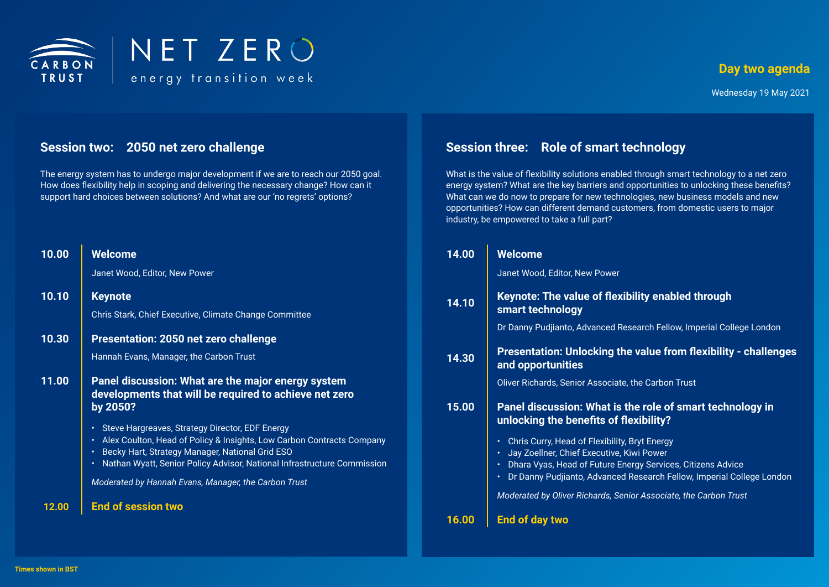

#### **Day two agenda**

# **Session two: 2050 net zero challenge**

The energy system has to undergo major development if we are to reach our 2050 goal. How does flexibility help in scoping and delivering the necessary change? How can it support hard choices between solutions? And what are our 'no regrets' options?

| 10.00 | <b>Welcome</b>                                                                                                                                                                                                                                              |
|-------|-------------------------------------------------------------------------------------------------------------------------------------------------------------------------------------------------------------------------------------------------------------|
|       | Janet Wood, Editor, New Power                                                                                                                                                                                                                               |
| 10.10 | <b>Keynote</b>                                                                                                                                                                                                                                              |
|       | Chris Stark, Chief Executive, Climate Change Committee                                                                                                                                                                                                      |
| 10.30 | Presentation: 2050 net zero challenge                                                                                                                                                                                                                       |
|       | Hannah Evans, Manager, the Carbon Trust                                                                                                                                                                                                                     |
| 11.00 | Panel discussion: What are the major energy system<br>developments that will be required to achieve net zero<br>by 2050?                                                                                                                                    |
|       | Steve Hargreaves, Strategy Director, EDF Energy<br>Alex Coulton, Head of Policy & Insights, Low Carbon Contracts Company<br>Becky Hart, Strategy Manager, National Grid ESO<br>٠<br>Nathan Wyatt, Senior Policy Advisor, National Infrastructure Commission |
|       | Moderated by Hannah Evans, Manager, the Carbon Trust                                                                                                                                                                                                        |
| 12.00 | <b>End of session two</b>                                                                                                                                                                                                                                   |

# **Session three: Role of smart technology**

What is the value of flexibility solutions enabled through smart technology to a net zero energy system? What are the key barriers and opportunities to unlocking these benefits? What can we do now to prepare for new technologies, new business models and new opportunities? How can different demand customers, from domestic users to major industry, be empowered to take a full part?

| 14.00 | <b>Welcome</b>                                                                                                                                    |
|-------|---------------------------------------------------------------------------------------------------------------------------------------------------|
|       | Janet Wood, Editor, New Power                                                                                                                     |
| 14.10 | Keynote: The value of flexibility enabled through<br>smart technology                                                                             |
|       | Dr Danny Pudjianto, Advanced Research Fellow, Imperial College London                                                                             |
| 14.30 | <b>Presentation: Unlocking the value from flexibility - challenges</b><br>and opportunities                                                       |
|       | Oliver Richards, Senior Associate, the Carbon Trust                                                                                               |
| 15.00 | Panel discussion: What is the role of smart technology in<br>unlocking the benefits of flexibility?                                               |
|       | Chris Curry, Head of Flexibility, Bryt Energy<br>Jay Zoellner, Chief Executive, Kiwi Power                                                        |
|       | Dhara Vyas, Head of Future Energy Services, Citizens Advice<br>$\bullet$<br>Dr Danny Pudjianto, Advanced Research Fellow, Imperial College London |
|       | Moderated by Oliver Richards, Senior Associate, the Carbon Trust                                                                                  |
| 16.00 | End of day two                                                                                                                                    |